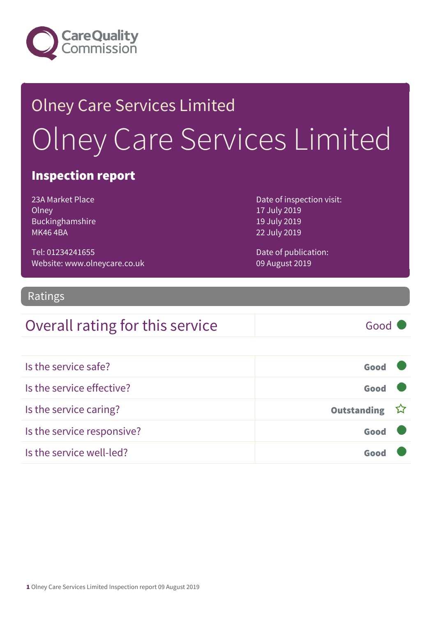

# Olney Care Services Limited Olney Care Services Limited

### Inspection report

23A Market Place **Olney** Buckinghamshire MK46 4BA

Date of inspection visit: 17 July 2019 19 July 2019 22 July 2019

Tel: 01234241655 Website: www.olneycare.co.uk Date of publication: 09 August 2019

### Ratings

### Overall rating for this service Good

| Is the service safe?       | Good          |  |
|----------------------------|---------------|--|
| Is the service effective?  | Good          |  |
| Is the service caring?     | Outstanding ☆ |  |
| Is the service responsive? | Good          |  |
| Is the service well-led?   |               |  |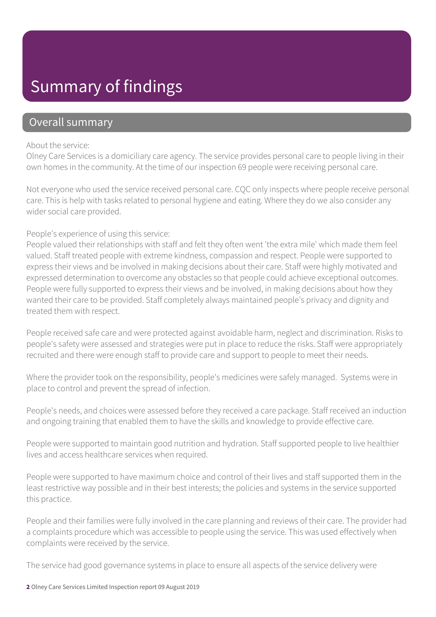### Summary of findings

### Overall summary

#### About the service:

Olney Care Services is a domiciliary care agency. The service provides personal care to people living in their own homes in the community. At the time of our inspection 69 people were receiving personal care.

Not everyone who used the service received personal care. CQC only inspects where people receive personal care. This is help with tasks related to personal hygiene and eating. Where they do we also consider any wider social care provided.

#### People's experience of using this service:

People valued their relationships with staff and felt they often went 'the extra mile' which made them feel valued. Staff treated people with extreme kindness, compassion and respect. People were supported to express their views and be involved in making decisions about their care. Staff were highly motivated and expressed determination to overcome any obstacles so that people could achieve exceptional outcomes. People were fully supported to express their views and be involved, in making decisions about how they wanted their care to be provided. Staff completely always maintained people's privacy and dignity and treated them with respect.

People received safe care and were protected against avoidable harm, neglect and discrimination. Risks to people's safety were assessed and strategies were put in place to reduce the risks. Staff were appropriately recruited and there were enough staff to provide care and support to people to meet their needs.

Where the provider took on the responsibility, people's medicines were safely managed. Systems were in place to control and prevent the spread of infection.

People's needs, and choices were assessed before they received a care package. Staff received an induction and ongoing training that enabled them to have the skills and knowledge to provide effective care.

People were supported to maintain good nutrition and hydration. Staff supported people to live healthier lives and access healthcare services when required.

People were supported to have maximum choice and control of their lives and staff supported them in the least restrictive way possible and in their best interests; the policies and systems in the service supported this practice.

People and their families were fully involved in the care planning and reviews of their care. The provider had a complaints procedure which was accessible to people using the service. This was used effectively when complaints were received by the service.

The service had good governance systems in place to ensure all aspects of the service delivery were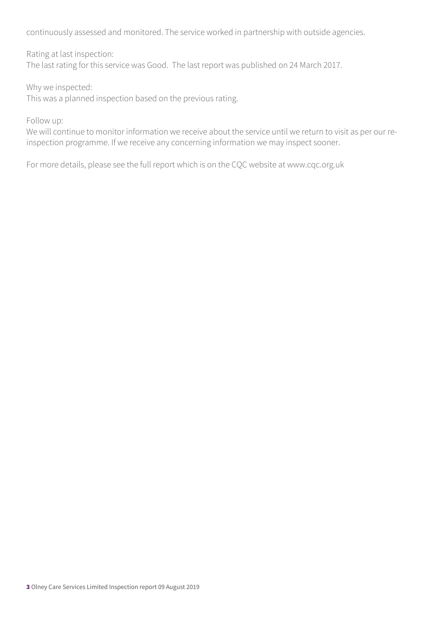continuously assessed and monitored. The service worked in partnership with outside agencies.

Rating at last inspection:

The last rating for this service was Good. The last report was published on 24 March 2017.

Why we inspected:

This was a planned inspection based on the previous rating.

Follow up:

We will continue to monitor information we receive about the service until we return to visit as per our reinspection programme. If we receive any concerning information we may inspect sooner.

For more details, please see the full report which is on the CQC website at www.cqc.org.uk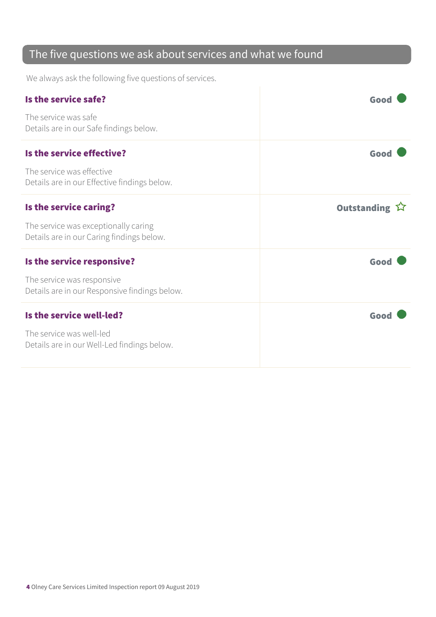### The five questions we ask about services and what we found

We always ask the following five questions of services.

| Is the service safe?                                                              | Goo           |
|-----------------------------------------------------------------------------------|---------------|
| The service was safe<br>Details are in our Safe findings below.                   |               |
| Is the service effective?                                                         | Good          |
| The service was effective<br>Details are in our Effective findings below.         |               |
| Is the service caring?                                                            | Outstanding ☆ |
| The service was exceptionally caring<br>Details are in our Caring findings below. |               |
| Is the service responsive?                                                        | Good          |
| The service was responsive<br>Details are in our Responsive findings below.       |               |
| Is the service well-led?                                                          | Good          |
| The service was well-led<br>Details are in our Well-Led findings below.           |               |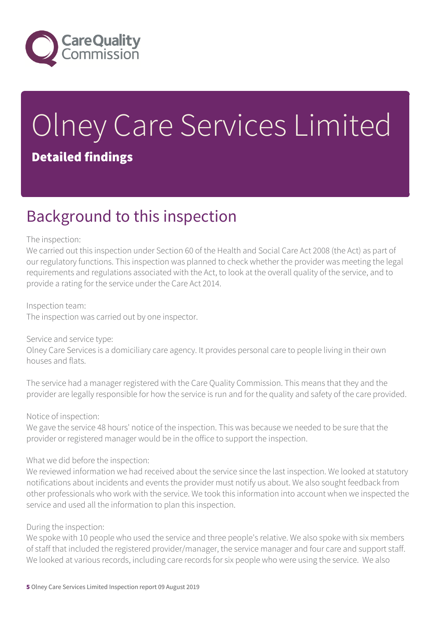

# Olney Care Services Limited Detailed findings

### Background to this inspection

#### The inspection:

We carried out this inspection under Section 60 of the Health and Social Care Act 2008 (the Act) as part of our regulatory functions. This inspection was planned to check whether the provider was meeting the legal requirements and regulations associated with the Act, to look at the overall quality of the service, and to provide a rating for the service under the Care Act 2014.

#### Inspection team:

The inspection was carried out by one inspector.

#### Service and service type:

Olney Care Services is a domiciliary care agency. It provides personal care to people living in their own houses and flats.

The service had a manager registered with the Care Quality Commission. This means that they and the provider are legally responsible for how the service is run and for the quality and safety of the care provided.

#### Notice of inspection:

We gave the service 48 hours' notice of the inspection. This was because we needed to be sure that the provider or registered manager would be in the office to support the inspection.

#### What we did before the inspection:

We reviewed information we had received about the service since the last inspection. We looked at statutory notifications about incidents and events the provider must notify us about. We also sought feedback from other professionals who work with the service. We took this information into account when we inspected the service and used all the information to plan this inspection.

#### During the inspection:

We spoke with 10 people who used the service and three people's relative. We also spoke with six members of staff that included the registered provider/manager, the service manager and four care and support staff. We looked at various records, including care records for six people who were using the service. We also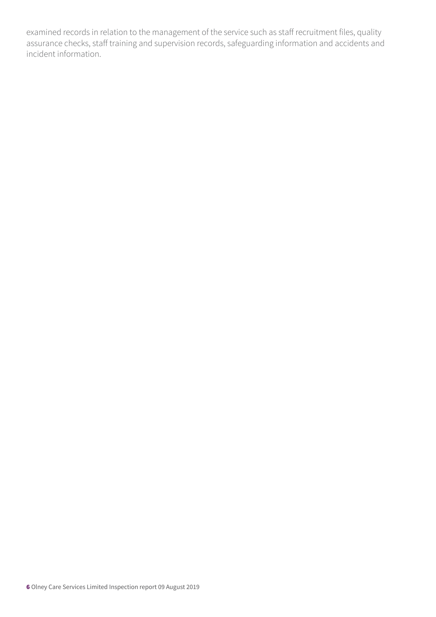examined records in relation to the management of the service such as staff recruitment files, quality assurance checks, staff training and supervision records, safeguarding information and accidents and incident information.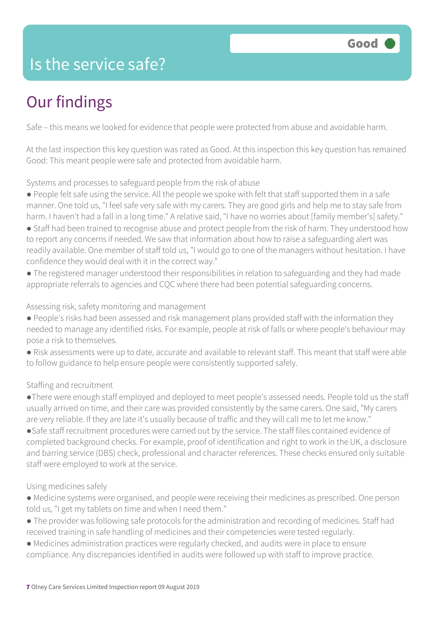### Is the service safe?

## Our findings

Safe – this means we looked for evidence that people were protected from abuse and avoidable harm.

At the last inspection this key question was rated as Good. At this inspection this key question has remained Good: This meant people were safe and protected from avoidable harm.

Systems and processes to safeguard people from the risk of abuse

- People felt safe using the service. All the people we spoke with felt that staff supported them in a safe manner. One told us, "I feel safe very safe with my carers. They are good girls and help me to stay safe from harm. I haven't had a fall in a long time." A relative said, "I have no worries about [family member's] safety."
- Staff had been trained to recognise abuse and protect people from the risk of harm. They understood how to report any concerns if needed. We saw that information about how to raise a safeguarding alert was readily available. One member of staff told us, "I would go to one of the managers without hesitation. I have confidence they would deal with it in the correct way."
- The registered manager understood their responsibilities in relation to safeguarding and they had made appropriate referrals to agencies and CQC where there had been potential safeguarding concerns.

Assessing risk, safety monitoring and management

- People's risks had been assessed and risk management plans provided staff with the information they needed to manage any identified risks. For example, people at risk of falls or where people's behaviour may pose a risk to themselves.
- Risk assessments were up to date, accurate and available to relevant staff. This meant that staff were able to follow guidance to help ensure people were consistently supported safely.

#### Staffing and recruitment

- ●There were enough staff employed and deployed to meet people's assessed needs. People told us the staff usually arrived on time, and their care was provided consistently by the same carers. One said, "My carers are very reliable. If they are late it's usually because of traffic and they will call me to let me know."
- ●Safe staff recruitment procedures were carried out by the service. The staff files contained evidence of completed background checks. For example, proof of identification and right to work in the UK, a disclosure and barring service (DBS) check, professional and character references. These checks ensured only suitable staff were employed to work at the service.

#### Using medicines safely

- Medicine systems were organised, and people were receiving their medicines as prescribed. One person told us, "I get my tablets on time and when I need them."
- The provider was following safe protocols for the administration and recording of medicines. Staff had received training in safe handling of medicines and their competencies were tested regularly.
- Medicines administration practices were regularly checked, and audits were in place to ensure compliance. Any discrepancies identified in audits were followed up with staff to improve practice.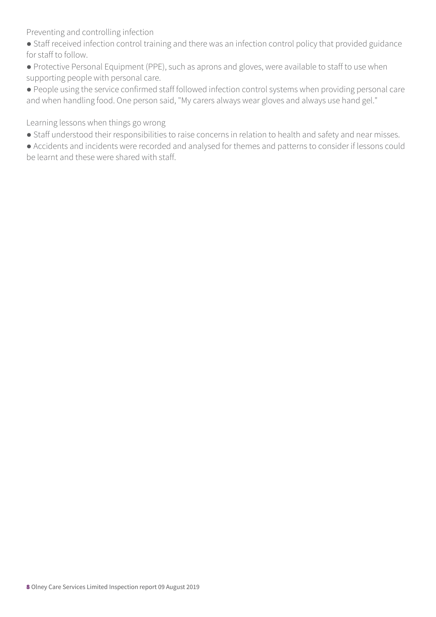Preventing and controlling infection

- Staff received infection control training and there was an infection control policy that provided guidance for staff to follow.
- Protective Personal Equipment (PPE), such as aprons and gloves, were available to staff to use when supporting people with personal care.

● People using the service confirmed staff followed infection control systems when providing personal care and when handling food. One person said, "My carers always wear gloves and always use hand gel."

Learning lessons when things go wrong

- Staff understood their responsibilities to raise concerns in relation to health and safety and near misses.
- Accidents and incidents were recorded and analysed for themes and patterns to consider if lessons could be learnt and these were shared with staff.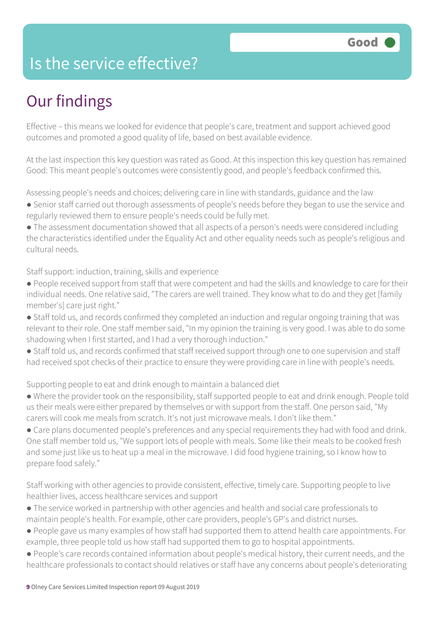### Is the service effective?

## Our findings

Effective – this means we looked for evidence that people's care, treatment and support achieved good outcomes and promoted a good quality of life, based on best available evidence.

At the last inspection this key question was rated as Good. At this inspection this key question has remained Good: This meant people's outcomes were consistently good, and people's feedback confirmed this.

Assessing people's needs and choices; delivering care in line with standards, guidance and the law

● Senior staff carried out thorough assessments of people's needs before they began to use the service and regularly reviewed them to ensure people's needs could be fully met.

● The assessment documentation showed that all aspects of a person's needs were considered including the characteristics identified under the Equality Act and other equality needs such as people's religious and cultural needs.

Staff support: induction, training, skills and experience

- People received support from staff that were competent and had the skills and knowledge to care for their individual needs. One relative said, "The carers are well trained. They know what to do and they get [family member's] care just right."
- Staff told us, and records confirmed they completed an induction and regular ongoing training that was relevant to their role. One staff member said, "In my opinion the training is very good. I was able to do some shadowing when I first started, and I had a very thorough induction."
- Staff told us, and records confirmed that staff received support through one to one supervision and staff had received spot checks of their practice to ensure they were providing care in line with people's needs.

Supporting people to eat and drink enough to maintain a balanced diet

- Where the provider took on the responsibility, staff supported people to eat and drink enough. People told us their meals were either prepared by themselves or with support from the staff. One person said, "My carers will cook me meals from scratch. It's not just microwave meals. I don't like them."
- Care plans documented people's preferences and any special requirements they had with food and drink. One staff member told us, "We support lots of people with meals. Some like their meals to be cooked fresh and some just like us to heat up a meal in the microwave. I did food hygiene training, so I know how to prepare food safely."

Staff working with other agencies to provide consistent, effective, timely care. Supporting people to live healthier lives, access healthcare services and support

- The service worked in partnership with other agencies and health and social care professionals to maintain people's health. For example, other care providers, people's GP's and district nurses.
- People gave us many examples of how staff had supported them to attend health care appointments. For example, three people told us how staff had supported them to go to hospital appointments.
- People's care records contained information about people's medical history, their current needs, and the healthcare professionals to contact should relatives or staff have any concerns about people's deteriorating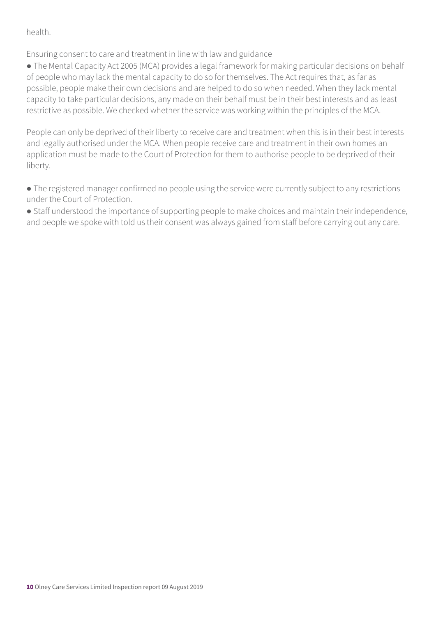health.

Ensuring consent to care and treatment in line with law and guidance

• The Mental Capacity Act 2005 (MCA) provides a legal framework for making particular decisions on behalf of people who may lack the mental capacity to do so for themselves. The Act requires that, as far as possible, people make their own decisions and are helped to do so when needed. When they lack mental capacity to take particular decisions, any made on their behalf must be in their best interests and as least restrictive as possible. We checked whether the service was working within the principles of the MCA.

People can only be deprived of their liberty to receive care and treatment when this is in their best interests and legally authorised under the MCA. When people receive care and treatment in their own homes an application must be made to the Court of Protection for them to authorise people to be deprived of their liberty.

● The registered manager confirmed no people using the service were currently subject to any restrictions under the Court of Protection.

● Staff understood the importance of supporting people to make choices and maintain their independence, and people we spoke with told us their consent was always gained from staff before carrying out any care.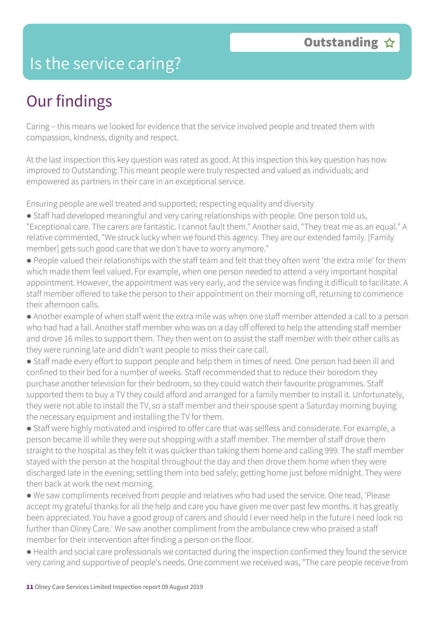### Is the service caring?

## Our findings

Caring – this means we looked for evidence that the service involved people and treated them with compassion, kindness, dignity and respect.

At the last inspection this key question was rated as good. At this inspection this key question has now improved to Outstanding: This meant people were truly respected and valued as individuals; and empowered as partners in their care in an exceptional service.

Ensuring people are well treated and supported; respecting equality and diversity

- Staff had developed meaningful and very caring relationships with people. One person told us, "Exceptional care. The carers are fantastic. I cannot fault them." Another said, "They treat me as an equal." A relative commented, "We struck lucky when we found this agency. They are our extended family. [Family member] gets such good care that we don't have to worry anymore."
- People valued their relationships with the staff team and felt that they often went 'the extra mile' for them which made them feel valued. For example, when one person needed to attend a very important hospital appointment. However, the appointment was very early, and the service was finding it difficult to facilitate. A staff member offered to take the person to their appointment on their morning off, returning to commence their afternoon calls.
- Another example of when staff went the extra mile was when one staff member attended a call to a person who had had a fall. Another staff member who was on a day off offered to help the attending staff member and drove 16 miles to support them. They then went on to assist the staff member with their other calls as they were running late and didn't want people to miss their care call.
- Staff made every effort to support people and help them in times of need. One person had been ill and confined to their bed for a number of weeks. Staff recommended that to reduce their boredom they purchase another television for their bedroom, so they could watch their favourite programmes. Staff supported them to buy a TV they could afford and arranged for a family member to install it. Unfortunately, they were not able to install the TV, so a staff member and their spouse spent a Saturday morning buying the necessary equipment and installing the TV for them.
- Staff were highly motivated and inspired to offer care that was selfless and considerate. For example, a person became ill while they were out shopping with a staff member. The member of staff drove them straight to the hospital as they felt it was quicker than taking them home and calling 999. The staff member stayed with the person at the hospital throughout the day and then drove them home when they were discharged late in the evening; settling them into bed safely; getting home just before midnight. They were then back at work the next morning.
- We saw compliments received from people and relatives who had used the service. One read, 'Please accept my grateful thanks for all the help and care you have given me over past few months. It has greatly been appreciated. You have a good group of carers and should I ever need help in the future I need look no further than Olney Care.' We saw another compliment from the ambulance crew who praised a staff member for their intervention after finding a person on the floor.
- Health and social care professionals we contacted during the inspection confirmed they found the service very caring and supportive of people's needs. One comment we received was, "The care people receive from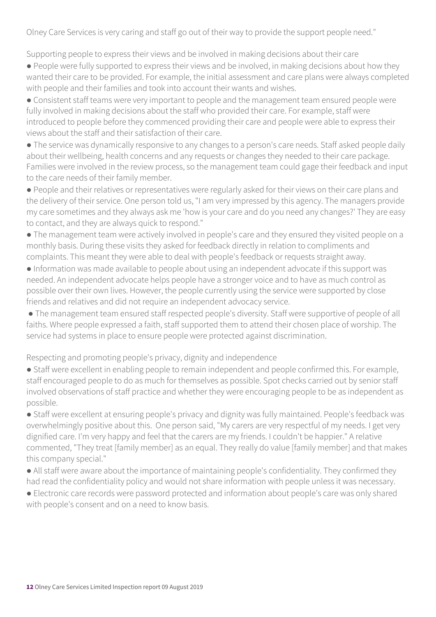Olney Care Services is very caring and staff go out of their way to provide the support people need."

Supporting people to express their views and be involved in making decisions about their care

● People were fully supported to express their views and be involved, in making decisions about how they wanted their care to be provided. For example, the initial assessment and care plans were always completed with people and their families and took into account their wants and wishes.

● Consistent staff teams were very important to people and the management team ensured people were fully involved in making decisions about the staff who provided their care. For example, staff were introduced to people before they commenced providing their care and people were able to express their views about the staff and their satisfaction of their care.

• The service was dynamically responsive to any changes to a person's care needs. Staff asked people daily about their wellbeing, health concerns and any requests or changes they needed to their care package. Families were involved in the review process, so the management team could gage their feedback and input to the care needs of their family member.

● People and their relatives or representatives were regularly asked for their views on their care plans and the delivery of their service. One person told us, "I am very impressed by this agency. The managers provide my care sometimes and they always ask me 'how is your care and do you need any changes?' They are easy to contact, and they are always quick to respond."

● The management team were actively involved in people's care and they ensured they visited people on a monthly basis. During these visits they asked for feedback directly in relation to compliments and complaints. This meant they were able to deal with people's feedback or requests straight away.

● Information was made available to people about using an independent advocate if this support was needed. An independent advocate helps people have a stronger voice and to have as much control as possible over their own lives. However, the people currently using the service were supported by close friends and relatives and did not require an independent advocacy service.

● The management team ensured staff respected people's diversity. Staff were supportive of people of all faiths. Where people expressed a faith, staff supported them to attend their chosen place of worship. The service had systems in place to ensure people were protected against discrimination.

Respecting and promoting people's privacy, dignity and independence

● Staff were excellent in enabling people to remain independent and people confirmed this. For example, staff encouraged people to do as much for themselves as possible. Spot checks carried out by senior staff involved observations of staff practice and whether they were encouraging people to be as independent as possible.

● Staff were excellent at ensuring people's privacy and dignity was fully maintained. People's feedback was overwhelmingly positive about this. One person said, "My carers are very respectful of my needs. I get very dignified care. I'm very happy and feel that the carers are my friends. I couldn't be happier." A relative commented, "They treat [family member] as an equal. They really do value [family member] and that makes this company special."

• All staff were aware about the importance of maintaining people's confidentiality. They confirmed they had read the confidentiality policy and would not share information with people unless it was necessary.

● Electronic care records were password protected and information about people's care was only shared with people's consent and on a need to know basis.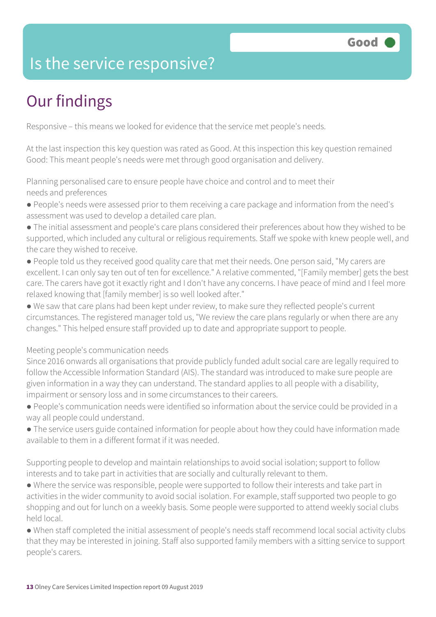### Is the service responsive?

# Our findings

Responsive – this means we looked for evidence that the service met people's needs.

At the last inspection this key question was rated as Good. At this inspection this key question remained Good: This meant people's needs were met through good organisation and delivery.

Planning personalised care to ensure people have choice and control and to meet their needs and preferences

- People's needs were assessed prior to them receiving a care package and information from the need's assessment was used to develop a detailed care plan.
- The initial assessment and people's care plans considered their preferences about how they wished to be supported, which included any cultural or religious requirements. Staff we spoke with knew people well, and the care they wished to receive.
- People told us they received good quality care that met their needs. One person said, "My carers are excellent. I can only say ten out of ten for excellence." A relative commented, "[Family member] gets the best care. The carers have got it exactly right and I don't have any concerns. I have peace of mind and I feel more relaxed knowing that [family member] is so well looked after."
- We saw that care plans had been kept under review, to make sure they reflected people's current circumstances. The registered manager told us, "We review the care plans regularly or when there are any changes." This helped ensure staff provided up to date and appropriate support to people.

#### Meeting people's communication needs

Since 2016 onwards all organisations that provide publicly funded adult social care are legally required to follow the Accessible Information Standard (AIS). The standard was introduced to make sure people are given information in a way they can understand. The standard applies to all people with a disability, impairment or sensory loss and in some circumstances to their careers.

- People's communication needs were identified so information about the service could be provided in a way all people could understand.
- The service users guide contained information for people about how they could have information made available to them in a different format if it was needed.

Supporting people to develop and maintain relationships to avoid social isolation; support to follow interests and to take part in activities that are socially and culturally relevant to them.

● Where the service was responsible, people were supported to follow their interests and take part in activities in the wider community to avoid social isolation. For example, staff supported two people to go shopping and out for lunch on a weekly basis. Some people were supported to attend weekly social clubs held local.

● When staff completed the initial assessment of people's needs staff recommend local social activity clubs that they may be interested in joining. Staff also supported family members with a sitting service to support people's carers.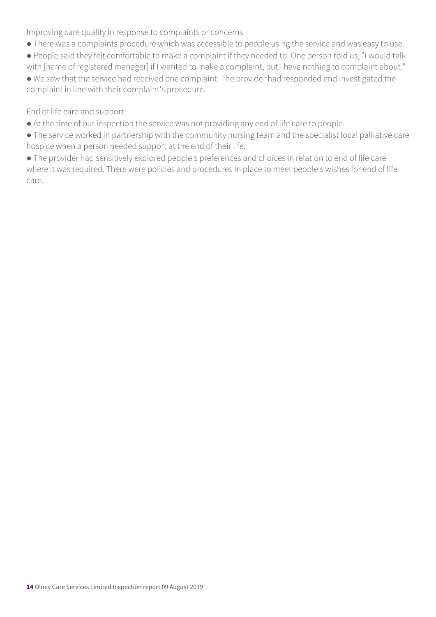Improving care quality in response to complaints or concerns

- There was a complaints procedure which was accessible to people using the service and was easy to use.
- People said they felt comfortable to make a complaint if they needed to. One person told us, "I would talk with [name of registered manager] if I wanted to make a complaint, but I have nothing to complaint about."
- We saw that the service had received one complaint. The provider had responded and investigated the complaint in line with their complaint's procedure.

#### End of life care and support

- At the time of our inspection the service was not providing any end of life care to people.
- The service worked in partnership with the community nursing team and the specialist local palliative care hospice when a person needed support at the end of their life.
- The provider had sensitively explored people's preferences and choices in relation to end of life care where it was required. There were policies and procedures in place to meet people's wishes for end of life care.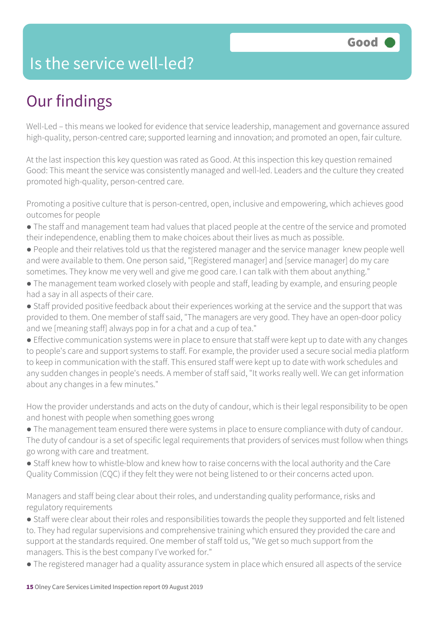### Is the service well-led?

## Our findings

Well-Led – this means we looked for evidence that service leadership, management and governance assured high-quality, person-centred care; supported learning and innovation; and promoted an open, fair culture.

At the last inspection this key question was rated as Good. At this inspection this key question remained Good: This meant the service was consistently managed and well-led. Leaders and the culture they created promoted high-quality, person-centred care.

Promoting a positive culture that is person-centred, open, inclusive and empowering, which achieves good outcomes for people

- The staff and management team had values that placed people at the centre of the service and promoted their independence, enabling them to make choices about their lives as much as possible.
- People and their relatives told us that the registered manager and the service manager knew people well and were available to them. One person said, "[Registered manager] and [service manager] do my care sometimes. They know me very well and give me good care. I can talk with them about anything."
- The management team worked closely with people and staff, leading by example, and ensuring people had a say in all aspects of their care.
- Staff provided positive feedback about their experiences working at the service and the support that was provided to them. One member of staff said, "The managers are very good. They have an open-door policy and we [meaning staff] always pop in for a chat and a cup of tea."
- Effective communication systems were in place to ensure that staff were kept up to date with any changes to people's care and support systems to staff. For example, the provider used a secure social media platform to keep in communication with the staff. This ensured staff were kept up to date with work schedules and any sudden changes in people's needs. A member of staff said, "It works really well. We can get information about any changes in a few minutes."

How the provider understands and acts on the duty of candour, which is their legal responsibility to be open and honest with people when something goes wrong

- The management team ensured there were systems in place to ensure compliance with duty of candour. The duty of candour is a set of specific legal requirements that providers of services must follow when things go wrong with care and treatment.
- Staff knew how to whistle-blow and knew how to raise concerns with the local authority and the Care Quality Commission (CQC) if they felt they were not being listened to or their concerns acted upon.

Managers and staff being clear about their roles, and understanding quality performance, risks and regulatory requirements

- Staff were clear about their roles and responsibilities towards the people they supported and felt listened to. They had regular supervisions and comprehensive training which ensured they provided the care and support at the standards required. One member of staff told us, "We get so much support from the managers. This is the best company I've worked for."
- The registered manager had a quality assurance system in place which ensured all aspects of the service